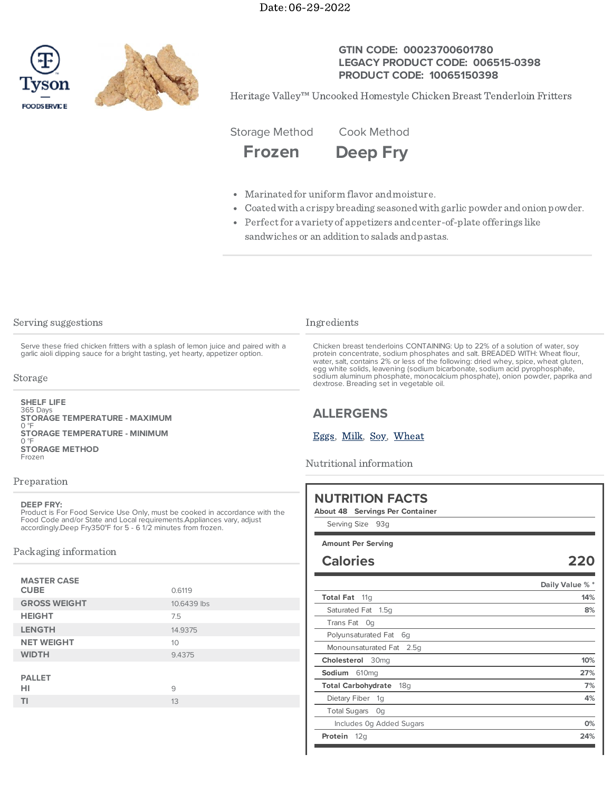



## **GTIN CODE: 00023700601780 LEGACY PRODUCT CODE: 006515-0398 PRODUCT CODE: 10065150398**

Heritage Valley™ Uncooked Homestyle Chicken Breast Tenderloin Fritters

Storage Method Cook Method

**Frozen Deep Fry**

- Marinatedfor uniform flavor andmoisture.
- Coatedwith a crispy breading seasonedwith garlic powder andonion powder.
- Perfect for a variety of appetizers and center-of-plate offerings like sandwiches or an addition to salads andpastas.

## Serving suggestions

Serve these fried chicken fritters with a splash of lemon juice and paired with a garlic aioli dipping sauce for a bright tasting, yet hearty, appetizer option.

#### Storage

365 Days **SHELF LIFE**  $\overline{0}$  °F  $\overline{0}$  °F Frozen **STORAGE TEMPERATURE - MAXIMUM STORAGE TEMPERATURE - MINIMUM STORAGE METHOD**

## Preparation

#### **DEEP FRY:**

Product is For Food Service Use Only, must be cooked in accordance with the Food Code and/or State and Local requirements.Appliances vary, adjust accordingly.Deep Fry350°F for 5 - 6 1/2 minutes from frozen.

## Packaging information

| <b>MASTER CASE</b><br><b>CUBE</b> | 0.6119      |
|-----------------------------------|-------------|
| <b>GROSS WEIGHT</b>               | 10.6439 lbs |
| <b>HEIGHT</b>                     | 7.5         |
| <b>LENGTH</b>                     | 14.9375     |
| <b>NET WEIGHT</b>                 | 10          |
| <b>WIDTH</b>                      | 9.4375      |
| <b>PALLET</b><br>HI               | 9           |
| ΤI                                | 13          |
|                                   |             |

## Ingredients

Chicken breast tenderloins CONTAINING: Up to 22% of a solution of water, soy protein concentrate, sodium phosphates and salt. BREADED WITH: Wheat flour, water, salt, contains 2% or less of the following: dried whey, spice, wheat gluten, egg white solids, leavening (sodium bicarbonate, sodium acid pyrophosphate, sodium aluminum phosphate, monocalcium phosphate), onion powder, paprika and dextrose. Breading set in vegetable oil.

# **ALLERGENS**

## [Eggs](https://www.tysonfoodservice.com/taxonomy/term/4251), [Milk](https://www.tysonfoodservice.com/taxonomy/term/4246), [Soy](https://www.tysonfoodservice.com/taxonomy/term/4421), [Wheat](https://www.tysonfoodservice.com/taxonomy/term/4236)

Nutritional information

| Serving Size 93g                             |                 |
|----------------------------------------------|-----------------|
| <b>Amount Per Serving</b>                    |                 |
| <b>Calories</b>                              | 220             |
|                                              | Daily Value % * |
| <b>Total Fat</b><br>11 <sub>q</sub>          | 14%             |
| Saturated Fat 1.5q                           | 8%              |
| Trans Fat<br>0a                              |                 |
| Polyunsaturated Fat<br>6g                    |                 |
| Monounsaturated Fat<br>2.5q                  |                 |
| Cholesterol<br>30 <sub>mq</sub>              | 10%             |
| Sodium<br>610mg                              | 27%             |
| <b>Total Carbohydrate</b><br>18 <sub>q</sub> | 7%              |
| Dietary Fiber<br>1g                          | 4%              |
| <b>Total Sugars</b><br>Oq                    |                 |
| Includes Og Added Sugars                     | 0%              |
| Protein<br>12q                               | 24%             |